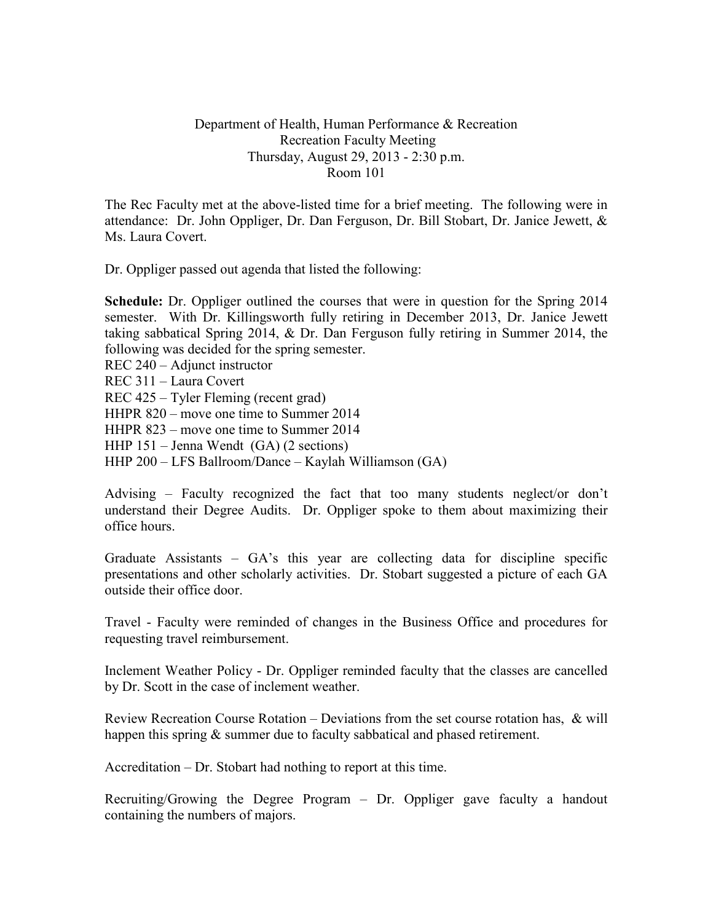## Department of Health, Human Performance & Recreation Recreation Faculty Meeting Thursday, August 29, 2013 - 2:30 p.m. Room 101

The Rec Faculty met at the above-listed time for a brief meeting. The following were in attendance: Dr. John Oppliger, Dr. Dan Ferguson, Dr. Bill Stobart, Dr. Janice Jewett, & Ms. Laura Covert.

Dr. Oppliger passed out agenda that listed the following:

**Schedule:** Dr. Oppliger outlined the courses that were in question for the Spring 2014 semester. With Dr. Killingsworth fully retiring in December 2013, Dr. Janice Jewett taking sabbatical Spring 2014, & Dr. Dan Ferguson fully retiring in Summer 2014, the following was decided for the spring semester.

REC 240 – Adjunct instructor

REC 311 – Laura Covert

REC 425 – Tyler Fleming (recent grad)

HHPR 820 – move one time to Summer 2014

HHPR 823 – move one time to Summer 2014

HHP 151 – Jenna Wendt (GA) (2 sections)

HHP 200 – LFS Ballroom/Dance – Kaylah Williamson (GA)

Advising – Faculty recognized the fact that too many students neglect/or don't understand their Degree Audits. Dr. Oppliger spoke to them about maximizing their office hours.

Graduate Assistants – GA's this year are collecting data for discipline specific presentations and other scholarly activities. Dr. Stobart suggested a picture of each GA outside their office door.

Travel - Faculty were reminded of changes in the Business Office and procedures for requesting travel reimbursement.

Inclement Weather Policy - Dr. Oppliger reminded faculty that the classes are cancelled by Dr. Scott in the case of inclement weather.

Review Recreation Course Rotation – Deviations from the set course rotation has, & will happen this spring & summer due to faculty sabbatical and phased retirement.

Accreditation – Dr. Stobart had nothing to report at this time.

Recruiting/Growing the Degree Program – Dr. Oppliger gave faculty a handout containing the numbers of majors.